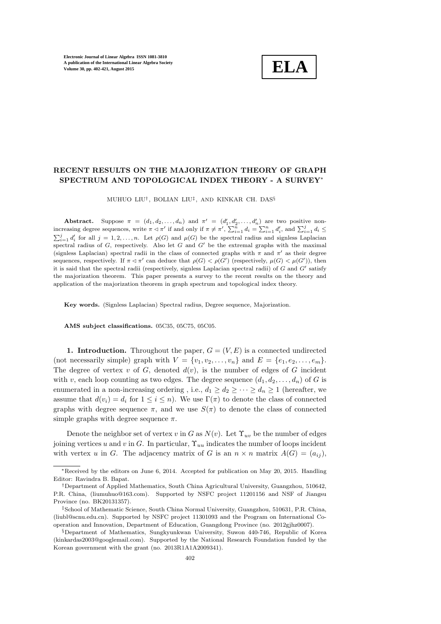**ELA**

## RECENT RESULTS ON THE MAJORIZATION THEORY OF GRAPH SPECTRUM AND TOPOLOGICAL INDEX THEORY - A SURVEY∗

MUHUO LIU† , BOLIAN LIU‡ , AND KINKAR CH. DAS§

**Abstract.** Suppose  $\pi = (d_1, d_2, \ldots, d_n)$  and  $\pi' = (d'_1, d'_2, \ldots, d'_n)$  are two positive nonincreasing degree sequences, write  $\pi \lhd \pi'$  if and only if  $\pi \neq \pi'$ ,  $\sum_{i=1}^{\tilde{n}} d_i = \sum_{i=1}^{n} d'_i$ , and  $\sum_{i=1}^{j} d_i \leq$  $\sum_{i=1}^j d'_i$  for all  $j = 1, 2, ..., n$ . Let  $\rho(G)$  and  $\mu(G)$  be the spectral radius and signless Laplacian spectral radius of  $G$ , respectively. Also let  $G$  and  $G'$  be the extremal graphs with the maximal (signless Laplacian) spectral radii in the class of connected graphs with  $\pi$  and  $\pi'$  as their degree sequences, respectively. If  $\pi \lhd \pi'$  can deduce that  $\rho(G) < \rho(G')$  (respectively,  $\mu(G) < \mu(G')$ ), then it is said that the spectral radii (respectively, signless Laplacian spectral radii) of G and G′ satisfy the majorization theorem. This paper presents a survey to the recent results on the theory and application of the majorization theorem in graph spectrum and topological index theory.

Key words. (Signless Laplacian) Spectral radius, Degree sequence, Majorization.

AMS subject classifications. 05C35, 05C75, 05C05.

1. Introduction. Throughout the paper,  $G = (V, E)$  is a connected undirected (not necessarily simple) graph with  $V = \{v_1, v_2, \ldots, v_n\}$  and  $E = \{e_1, e_2, \ldots, e_m\}.$ The degree of vertex v of G, denoted  $d(v)$ , is the number of edges of G incident with v, each loop counting as two edges. The degree sequence  $(d_1, d_2, \ldots, d_n)$  of G is enumerated in a non-increasing ordering , i.e.,  $d_1 \geq d_2 \geq \cdots \geq d_n \geq 1$  (hereafter, we assume that  $d(v_i) = d_i$  for  $1 \leq i \leq n$ ). We use  $\Gamma(\pi)$  to denote the class of connected graphs with degree sequence  $\pi$ , and we use  $S(\pi)$  to denote the class of connected simple graphs with degree sequence  $\pi$ .

Denote the neighbor set of vertex v in G as  $N(v)$ . Let  $\Upsilon_{uv}$  be the number of edges joining vertices u and v in G. In particular,  $\Upsilon_{uu}$  indicates the number of loops incident with vertex u in G. The adjacency matrix of G is an  $n \times n$  matrix  $A(G) = (a_{ij}),$ 

<sup>∗</sup>Received by the editors on June 6, 2014. Accepted for publication on May 20, 2015. Handling Editor: Ravindra B. Bapat.

<sup>†</sup>Department of Applied Mathematics, South China Agricultural University, Guangzhou, 510642, P.R. China, (liumuhuo@163.com). Supported by NSFC project 11201156 and NSF of Jiangsu Province (no. BK20131357).

<sup>‡</sup>School of Mathematic Science, South China Normal University, Guangzhou, 510631, P.R. China, (liubl@scnu.edu.cn). Supported by NSFC project 11301093 and the Program on International Cooperation and Innovation, Department of Education, Guangdong Province (no. 2012gihz0007).

<sup>§</sup>Department of Mathematics, Sungkyunkwan University, Suwon 440-746, Republic of Korea (kinkardas2003@googlemail.com). Supported by the National Research Foundation funded by the Korean government with the grant (no. 2013R1A1A2009341).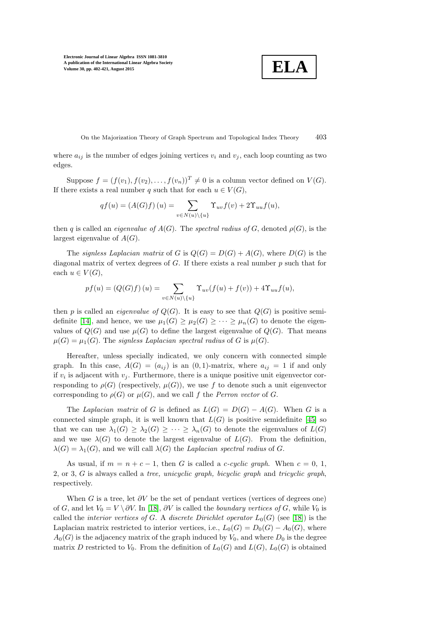**ELA**

On the Majorization Theory of Graph Spectrum and Topological Index Theory 403

where  $a_{ij}$  is the number of edges joining vertices  $v_i$  and  $v_j$ , each loop counting as two edges.

Suppose  $f = (f(v_1), f(v_2), \ldots, f(v_n))^T \neq 0$  is a column vector defined on  $V(G)$ . If there exists a real number q such that for each  $u \in V(G)$ ,

$$
qf(u) = (A(G)f)(u) = \sum_{v \in N(u) \setminus \{u\}} \Upsilon_{uv} f(v) + 2\Upsilon_{uu} f(u),
$$

then q is called an *eigenvalue of A(G)*. The spectral radius of G, denoted  $\rho(G)$ , is the largest eigenvalue of  $A(G)$ .

The signless Laplacian matrix of G is  $Q(G) = D(G) + A(G)$ , where  $D(G)$  is the diagonal matrix of vertex degrees of  $G$ . If there exists a real number  $p$  such that for each  $u \in V(G)$ ,

$$
pf(u) = (Q(G)f)(u) = \sum_{v \in N(u) \setminus \{u\}} \Upsilon_{uv}(f(u) + f(v)) + 4\Upsilon_{uu}f(u),
$$

then p is called an *eigenvalue of*  $Q(G)$ . It is easy to see that  $Q(G)$  is positive semi-definite [\[14\]](#page-18-0), and hence, we use  $\mu_1(G) > \mu_2(G) > \cdots > \mu_n(G)$  to denote the eigenvalues of  $Q(G)$  and use  $\mu(G)$  to define the largest eigenvalue of  $Q(G)$ . That means  $\mu(G) = \mu_1(G)$ . The signless Laplacian spectral radius of G is  $\mu(G)$ .

Hereafter, unless specially indicated, we only concern with connected simple graph. In this case,  $A(G) = (a_{ij})$  is an  $(0, 1)$ -matrix, where  $a_{ij} = 1$  if and only if  $v_i$  is adjacent with  $v_j$ . Furthermore, there is a unique positive unit eigenvector corresponding to  $\rho(G)$  (respectively,  $\mu(G)$ ), we use f to denote such a unit eigenvector corresponding to  $\rho(G)$  or  $\mu(G)$ , and we call f the Perron vector of G.

The Laplacian matrix of G is defined as  $L(G) = D(G) - A(G)$ . When G is a connected simple graph, it is well known that  $L(G)$  is positive semidefinite [\[45\]](#page-19-0) so that we can use  $\lambda_1(G) \geq \lambda_2(G) \geq \cdots \geq \lambda_n(G)$  to denote the eigenvalues of  $L(G)$ and we use  $\lambda(G)$  to denote the largest eigenvalue of  $L(G)$ . From the definition,  $\lambda(G) = \lambda_1(G)$ , and we will call  $\lambda(G)$  the *Laplacian spectral radius* of G.

As usual, if  $m = n + c - 1$ , then G is called a c-cyclic graph. When  $c = 0, 1$ , 2, or 3,  $G$  is always called a *tree, unicyclic graph, bicyclic graph* and *tricyclic graph*, respectively.

When G is a tree, let  $\partial V$  be the set of pendant vertices (vertices of degrees one) of G, and let  $V_0 = V \setminus \partial V$ . In [\[18\]](#page-18-1),  $\partial V$  is called the *boundary vertices of G*, while  $V_0$  is called the interior vertices of G. A discrete Dirichlet operator  $L_0(G)$  (see [\[18\]](#page-18-1)) is the Laplacian matrix restricted to interior vertices, i.e.,  $L_0(G) = D_0(G) - A_0(G)$ , where  $A_0(G)$  is the adjacency matrix of the graph induced by  $V_0$ , and where  $D_0$  is the degree matrix D restricted to  $V_0$ . From the definition of  $L_0(G)$  and  $L(G)$ ,  $L_0(G)$  is obtained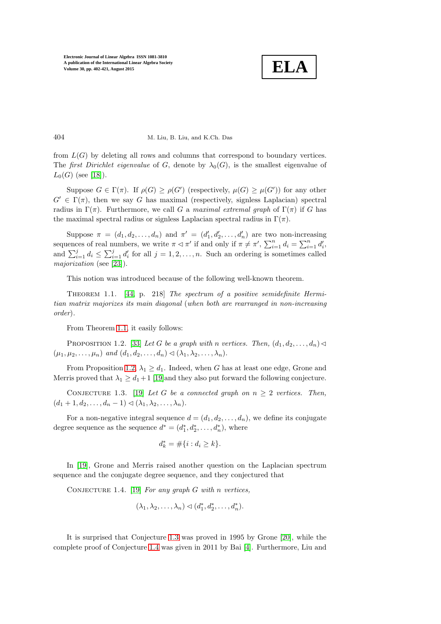

404 M. Liu, B. Liu, and K.Ch. Das

from  $L(G)$  by deleting all rows and columns that correspond to boundary vertices. The *first Dirichlet eigenvalue* of G, denote by  $\lambda_0(G)$ , is the smallest eigenvalue of  $L_0(G)$  (see [\[18\]](#page-18-1)).

Suppose  $G \in \Gamma(\pi)$ . If  $\rho(G) \ge \rho(G')$  (respectively,  $\mu(G) \ge \mu(G')$ ) for any other  $G' \in \Gamma(\pi)$ , then we say G has maximal (respectively, signless Laplacian) spectral radius in  $\Gamma(\pi)$ . Furthermore, we call G a maximal extremal graph of  $\Gamma(\pi)$  if G has the maximal spectral radius or signless Laplacian spectral radius in  $\Gamma(\pi)$ .

Suppose  $\pi = (d_1, d_2, \ldots, d_n)$  and  $\pi' = (d'_1, d'_2, \ldots, d'_n)$  are two non-increasing sequences of real numbers, we write  $\pi \leq \pi'$  if and only if  $\pi \neq \pi'$ ,  $\sum_{i=1}^{n} d_i = \sum_{i=1}^{n} d'_i$ , and  $\sum_{i=1}^{j} d_i \leq \sum_{i=1}^{j} d'_i$  for all  $j = 1, 2, ..., n$ . Such an ordering is sometimes called majorization (see [\[23\]](#page-18-2)).

<span id="page-2-0"></span>This notion was introduced because of the following well-known theorem.

THEOREM 1.1. [\[44,](#page-19-1) p. 218] The spectrum of a positive semidefinite Hermitian matrix majorizes its main diagonal (when both are rearranged in non-increasing order).

<span id="page-2-1"></span>From Theorem [1.1,](#page-2-0) it easily follows:

PROPOSITION 1.2. [\[33\]](#page-18-3) Let G be a graph with n vertices. Then,  $(d_1, d_2, \ldots, d_n) \triangleleft$  $(\mu_1, \mu_2, \ldots, \mu_n)$  and  $(d_1, d_2, \ldots, d_n) \triangleleft (\lambda_1, \lambda_2, \ldots, \lambda_n)$ .

<span id="page-2-2"></span>From Proposition [1.2,](#page-2-1)  $\lambda_1 \geq d_1$ . Indeed, when G has at least one edge, Grone and Merris proved that  $\lambda_1 \geq d_1 + 1$  [\[19\]](#page-18-4)and they also put forward the following conjecture.

CONJECTURE 1.3. [\[19\]](#page-18-4) Let G be a connected graph on  $n \geq 2$  vertices. Then,  $(d_1+1, d_2, \ldots, d_n-1) \triangleleft (\lambda_1, \lambda_2, \ldots, \lambda_n).$ 

For a non-negative integral sequence  $d = (d_1, d_2, \ldots, d_n)$ , we define its conjugate degree sequence as the sequence  $d^* = (d_1^*, d_2^*, \dots, d_n^*)$ , where

$$
d_k^* = \#\{i : d_i \ge k\}.
$$

<span id="page-2-3"></span>In [\[19\]](#page-18-4), Grone and Merris raised another question on the Laplacian spectrum sequence and the conjugate degree sequence, and they conjectured that

CONJECTURE 1.4. [\[19\]](#page-18-4) For any graph  $G$  with n vertices,

$$
(\lambda_1, \lambda_2, \ldots, \lambda_n) \lhd (d_1^*, d_2^*, \ldots, d_n^*).
$$

It is surprised that Conjecture [1.3](#page-2-2) was proved in 1995 by Grone [\[20\]](#page-18-5), while the complete proof of Conjecture [1.4](#page-2-3) was given in 2011 by Bai [\[4\]](#page-17-0). Furthermore, Liu and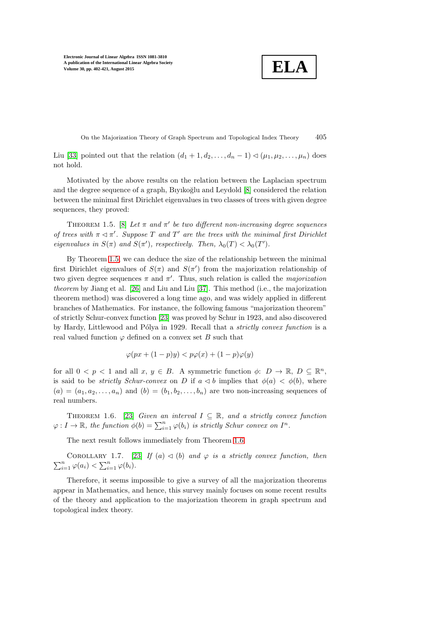**ELA**

On the Majorization Theory of Graph Spectrum and Topological Index Theory 405

Liu [\[33\]](#page-18-3) pointed out that the relation  $(d_1 + 1, d_2, \ldots, d_n - 1) \triangleleft (\mu_1, \mu_2, \ldots, \mu_n)$  does not hold.

Motivated by the above results on the relation between the Laplacian spectrum and the degree sequence of a graph, Biyikoğlu and Leydold  $[8]$  considered the relation between the minimal first Dirichlet eigenvalues in two classes of trees with given degree sequences, they proved:

<span id="page-3-0"></span>THEOREM 1.5. [\[8\]](#page-17-1) Let  $\pi$  and  $\pi'$  be two different non-increasing degree sequences of trees with  $\pi \leq \pi'$ . Suppose T and T' are the trees with the minimal first Dirichlet eigenvalues in  $S(\pi)$  and  $S(\pi')$ , respectively. Then,  $\lambda_0(T) < \lambda_0(T')$ .

By Theorem [1.5,](#page-3-0) we can deduce the size of the relationship between the minimal first Dirichlet eigenvalues of  $S(\pi)$  and  $S(\pi')$  from the majorization relationship of two given degree sequences  $\pi$  and  $\pi'$ . Thus, such relation is called the *majorization* theorem by Jiang et al. [\[26\]](#page-18-6) and Liu and Liu [\[37\]](#page-18-7). This method (i.e., the majorization theorem method) was discovered a long time ago, and was widely applied in different branches of Mathematics. For instance, the following famous "majorization theorem" of strictly Schur-convex function [\[23\]](#page-18-2) was proved by Schur in 1923, and also discovered by Hardy, Littlewood and Pólya in 1929. Recall that a *strictly convex function* is a real valued function  $\varphi$  defined on a convex set B such that

$$
\varphi(px + (1 - p)y) < p\varphi(x) + (1 - p)\varphi(y)
$$

for all  $0 < p < 1$  and all  $x, y \in B$ . A symmetric function  $\phi: D \to \mathbb{R}, D \subseteq \mathbb{R}^n$ , is said to be *strictly Schur-convex* on D if  $a \triangleleft b$  implies that  $\phi(a) < \phi(b)$ , where  $(a) = (a_1, a_2, \ldots, a_n)$  and  $(b) = (b_1, b_2, \ldots, b_n)$  are two non-increasing sequences of real numbers.

<span id="page-3-1"></span>THEOREM 1.6. [\[23\]](#page-18-2) Given an interval  $I \subseteq \mathbb{R}$ , and a strictly convex function  $\varphi: I \to \mathbb{R}$ , the function  $\phi(b) = \sum_{i=1}^{n} \varphi(b_i)$  is strictly Schur convex on  $I^n$ .

<span id="page-3-2"></span>The next result follows immediately from Theorem [1.6.](#page-3-1)

COROLLARY 1.7. [\[23\]](#page-18-2) If  $(a) \triangleleft (b)$  and  $\varphi$  is a strictly convex function, then  $\sum_{i=1}^n \varphi(a_i) < \sum_{i=1}^n \varphi(b_i).$ 

Therefore, it seems impossible to give a survey of all the majorization theorems appear in Mathematics, and hence, this survey mainly focuses on some recent results of the theory and application to the majorization theorem in graph spectrum and topological index theory.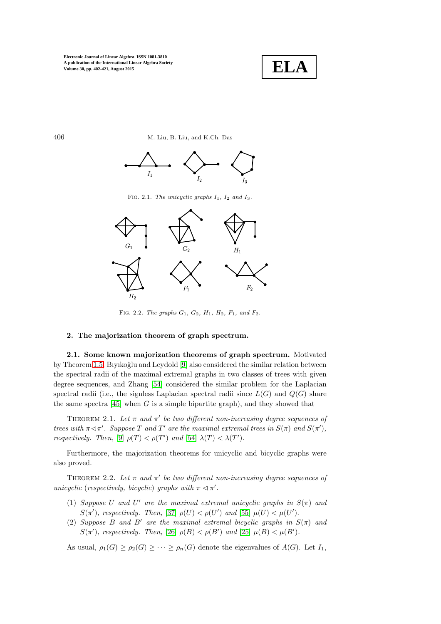

406 M. Liu, B. Liu, and K.Ch. Das



Fig. 2.1. *The unicyclic graphs* I1*,* I<sup>2</sup> *and* I3*.*



Fig. 2.2. *The graphs* G1*,* G2*,* H1*,* H2*,* F1*, and* F2*.*

## 2. The majorization theorem of graph spectrum.

2.1. Some known majorization theorems of graph spectrum. Motivated by Theorem [1.5,](#page-3-0) Bıyıkoğlu and Leydold [\[9\]](#page-17-2) also considered the similar relation between the spectral radii of the maximal extremal graphs in two classes of trees with given degree sequences, and Zhang [\[54\]](#page-19-2) considered the similar problem for the Laplacian spectral radii (i.e., the signless Laplacian spectral radii since  $L(G)$  and  $Q(G)$  share the same spectra  $[45]$  when G is a simple bipartite graph), and they showed that

<span id="page-4-0"></span>THEOREM 2.1. Let  $\pi$  and  $\pi'$  be two different non-increasing degree sequences of trees with  $\pi \lhd \pi'$ . Suppose T and T' are the maximal extremal trees in  $S(\pi)$  and  $S(\pi')$ , respectively. Then, [\[9\]](#page-17-2)  $\rho(T) < \rho(T')$  and [\[54\]](#page-19-2)  $\lambda(T) < \lambda(T')$ .

<span id="page-4-1"></span>Furthermore, the majorization theorems for unicyclic and bicyclic graphs were also proved.

THEOREM 2.2. Let  $\pi$  and  $\pi'$  be two different non-increasing degree sequences of unicyclic (respectively, bicyclic) graphs with  $\pi \leq \pi'$ .

- (1) Suppose U and U' are the maximal extremal unicyclic graphs in  $S(\pi)$  and  $S(\pi')$ , respectively. Then, [\[37\]](#page-18-7)  $\rho(U) < \rho(U')$  and [\[55\]](#page-19-3)  $\mu(U) < \mu(U')$ .
- (2) Suppose B and B' are the maximal extremal bicyclic graphs in  $S(\pi)$  and  $S(\pi')$ , respectively. Then, [\[26\]](#page-18-6)  $\rho(B) < \rho(B')$  and [\[25\]](#page-18-8)  $\mu(B) < \mu(B')$ .

As usual,  $\rho_1(G) \geq \rho_2(G) \geq \cdots \geq \rho_n(G)$  denote the eigenvalues of  $A(G)$ . Let  $I_1$ ,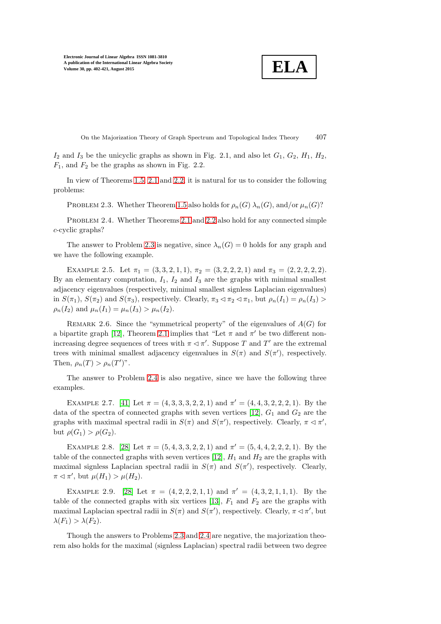**ELA**

On the Majorization Theory of Graph Spectrum and Topological Index Theory 407

 $I_2$  and  $I_3$  be the unicyclic graphs as shown in Fig. 2.1, and also let  $G_1$ ,  $G_2$ ,  $H_1$ ,  $H_2$ ,  $F_1$ , and  $F_2$  be the graphs as shown in Fig. 2.2.

<span id="page-5-0"></span>In view of Theorems [1.5,](#page-3-0) [2.1](#page-4-0) and [2.2,](#page-4-1) it is natural for us to consider the following problems:

<span id="page-5-1"></span>PROBLEM 2.3. Whether Theorem [1](#page-3-0).5 also holds for  $\rho_n(G)$   $\lambda_n(G)$ , and/or  $\mu_n(G)$ ?

PROBLEM [2](#page-4-1).4. Whether Theorems 2.1 and 2.2 also hold for any connected simple c-cyclic graphs?

The answer to Problem [2.3](#page-5-0) is negative, since  $\lambda_n(G) = 0$  holds for any graph and we have the following example.

EXAMPLE 2.5. Let  $\pi_1 = (3, 3, 2, 1, 1), \pi_2 = (3, 2, 2, 2, 1)$  and  $\pi_3 = (2, 2, 2, 2, 2).$ By an elementary computation,  $I_1$ ,  $I_2$  and  $I_3$  are the graphs with minimal smallest adjacency eigenvalues (respectively, minimal smallest signless Laplacian eigenvalues) in  $S(\pi_1)$ ,  $S(\pi_2)$  and  $S(\pi_3)$ , respectively. Clearly,  $\pi_3 \triangleleft \pi_2 \triangleleft \pi_1$ , but  $\rho_n(I_1) = \rho_n(I_3)$  $\rho_n(I_2)$  and  $\mu_n(I_1) = \mu_n(I_3) > \mu_n(I_2)$ .

REMARK 2.6. Since the "symmetrical property" of the eigenvalues of  $A(G)$  for a bipartite graph [\[12\]](#page-17-3), Theorem [2](#page-4-0).1 implies that "Let  $\pi$  and  $\pi'$  be two different nonincreasing degree sequences of trees with  $\pi \lhd \pi'$ . Suppose T and T' are the extremal trees with minimal smallest adjacency eigenvalues in  $S(\pi)$  and  $S(\pi')$ , respectively. Then,  $\rho_n(T) > \rho_n(T')$ ".

The answer to Problem [2.4](#page-5-1) is also negative, since we have the following three examples.

EXAMPLE 2.7. [\[41\]](#page-19-4) Let  $\pi = (4, 3, 3, 3, 2, 2, 1)$  and  $\pi' = (4, 4, 3, 2, 2, 2, 1)$ . By the data of the spectra of connected graphs with seven vertices [\[12\]](#page-17-3),  $G_1$  and  $G_2$  are the graphs with maximal spectral radii in  $S(\pi)$  and  $S(\pi')$ , respectively. Clearly,  $\pi \lhd \pi'$ , but  $\rho(G_1) > \rho(G_2)$ .

EXAMPLE 2.8. [\[28\]](#page-18-9) Let  $\pi = (5, 4, 3, 3, 2, 2, 1)$  and  $\pi' = (5, 4, 4, 2, 2, 2, 1)$ . By the table of the connected graphs with seven vertices [\[12\]](#page-17-3),  $H_1$  and  $H_2$  are the graphs with maximal signless Laplacian spectral radii in  $S(\pi)$  and  $S(\pi')$ , respectively. Clearly,  $\pi \lhd \pi'$ , but  $\mu(H_1) > \mu(H_2)$ .

EXAMPLE 2.9. [\[28\]](#page-18-9) Let  $\pi = (4, 2, 2, 2, 1, 1)$  and  $\pi' = (4, 3, 2, 1, 1, 1)$ . By the table of the connected graphs with six vertices [\[13\]](#page-18-10),  $F_1$  and  $F_2$  are the graphs with maximal Laplacian spectral radii in  $S(\pi)$  and  $S(\pi')$ , respectively. Clearly,  $\pi \lhd \pi'$ , but  $\lambda(F_1) > \lambda(F_2)$ .

Though the answers to Problems [2.3](#page-5-0) and [2.4](#page-5-1) are negative, the majorization theorem also holds for the maximal (signless Laplacian) spectral radii between two degree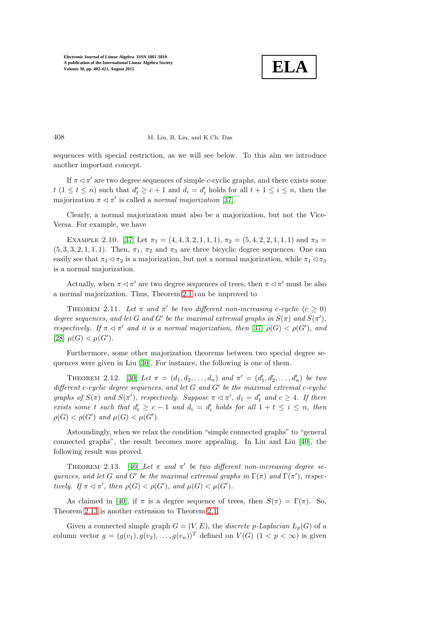

408 M. Liu, B. Liu, and K.Ch. Das

sequences with special restriction, as we will see below. To this aim we introduce another important concept.

If  $\pi \lhd \pi'$  are two degree sequences of simple c-cyclic graphs, and there exists some  $t (1 \leq t \leq n)$  such that  $d'_t \geq c+1$  and  $d_i = d'_i$  holds for all  $t + 1 \leq i \leq n$ , then the majorization  $\pi \leq \pi'$  is called a *normal majorization* [\[37\]](#page-18-7).

Clearly, a normal majorization must also be a majorization, but not the Vice-Versa. For example, we have

EXAMPLE 2.10. [\[37\]](#page-18-7) Let  $\pi_1 = (4, 4, 3, 2, 1, 1, 1), \pi_2 = (5, 4, 2, 2, 1, 1, 1)$  and  $\pi_3 =$  $(5, 3, 3, 2, 1, 1, 1)$ . Then,  $\pi_1$ ,  $\pi_2$  and  $\pi_3$  are three bicyclic degree sequences. One can easily see that  $\pi_1 \lhd \pi_2$  is a majorization, but not a normal majorization, while  $\pi_1 \lhd \pi_3$ is a normal majorization.

<span id="page-6-1"></span>Actually, when  $\pi \lhd \pi'$  are two degree sequences of trees, then  $\pi \lhd \pi'$  must be also a normal majorization. Thus, Theorem [2.1](#page-4-0) can be improved to

THEOREM 2.11. Let  $\pi$  and  $\pi'$  be two different non-increasing c-cyclic  $(c \ge 0)$ degree sequences, and let G and G' be the maximal extremal graphs in  $S(\pi)$  and  $S(\pi')$ , respectively. If  $\pi \lhd \pi'$  and it is a normal majorization, then [\[37\]](#page-18-7)  $\rho(G) < \rho(G')$ , and [\[28\]](#page-18-9)  $\mu(G) < \mu(G')$ .

Furthermore, some other majorization theorems between two special degree sequences were given in Liu [\[30\]](#page-18-11). For instance, the following is one of them.

THEOREM 2.12. [\[30\]](#page-18-11) Let  $\pi = (d_1, d_2, ..., d_n)$  and  $\pi' = (d'_1, d'_2, ..., d'_n)$  be two different c-cyclic degree sequences, and let  $G$  and  $G'$  be the maximal extremal c-cyclic graphs of  $S(\pi)$  and  $S(\pi')$ , respectively. Suppose  $\pi \lhd \pi'$ ,  $d_1 = d'_1$  and  $c \geq 4$ . If there exists some t such that  $d'_t \geq c-1$  and  $d_i = d'_i$  holds for all  $1+t \leq i \leq n$ , then  $\rho(G) < \rho(G')$  and  $\mu(G) < \mu(G')$ .

Astoundingly, when we relax the condition "simple connected graphs" to "general connected graphs", the result becomes more appealing. In Liu and Liu [\[40\]](#page-19-5), the following result was proved.

<span id="page-6-0"></span>THEOREM 2.13. [\[40\]](#page-19-5) Let  $\pi$  and  $\pi'$  be two different non-increasing degree sequences, and let G and G' be the maximal extremal graphs in  $\Gamma(\pi)$  and  $\Gamma(\pi')$ , respectively. If  $\pi \lhd \pi'$ , then  $\rho(G) < \rho(G')$ , and  $\mu(G) < \mu(G')$ .

As claimed in [\[40\]](#page-19-5), if  $\pi$  is a degree sequence of trees, then  $S(\pi) = \Gamma(\pi)$ . So, Theorem [2.13](#page-6-0) is another extension to Theorem [2.1.](#page-4-0)

Given a connected simple graph  $G = (V, E)$ , the *discrete p-Laplacian*  $L_p(G)$  of a column vector  $g = (g(v_1), g(v_2), \ldots, g(v_n))^T$  defined on  $V(G)$   $(1 < p < \infty)$  is given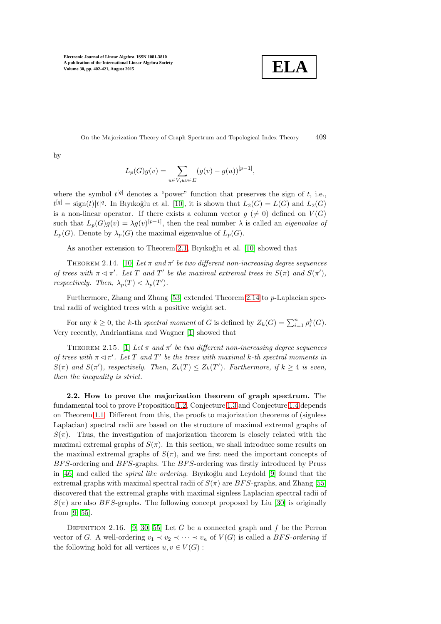**ELA**

,

On the Majorization Theory of Graph Spectrum and Topological Index Theory 409

$$
L_p(G)g(v) = \sum_{u \in V, uv \in E} (g(v) - g(u))^{[p-1]}
$$

where the symbol  $t^{[q]}$  denotes a "power" function that preserves the sign of t, i.e.,  $t^{[q]} = \text{sign}(t) |t|^q$ . In Biyikoğlu et al. [\[10\]](#page-17-4), it is shown that  $L_2(G) = L(G)$  and  $L_2(G)$ is a non-linear operator. If there exists a column vector  $g \neq 0$  defined on  $V(G)$ such that  $L_p(G)g(v) = \lambda g(v)^{[p-1]}$ , then the real number  $\lambda$  is called an *eigenvalue of*  $L_p(G)$ . Denote by  $\lambda_p(G)$  the maximal eigenvalue of  $L_p(G)$ .

<span id="page-7-0"></span>As another extension to Theorem [2.1,](#page-4-0) Bıyıkoğlu et al. [\[10\]](#page-17-4) showed that

THEOREM 2.14. [\[10\]](#page-17-4) Let  $\pi$  and  $\pi'$  be two different non-increasing degree sequences of trees with  $\pi \lhd \pi'$ . Let T and T' be the maximal extremal trees in  $S(\pi)$  and  $S(\pi')$ , respectively. Then,  $\lambda_p(T) < \lambda_p(T')$ .

Furthermore, Zhang and Zhang [\[53\]](#page-19-6) extended Theorem [2.14](#page-7-0) to p-Laplacian spectral radii of weighted trees with a positive weight set.

For any  $k \ge 0$ , the k-th spectral moment of G is defined by  $Z_k(G) = \sum_{i=1}^n \rho_i^k(G)$ . Very recently, Andriantiana and Wagner [\[1\]](#page-17-5) showed that

THEOREM 2.15. [\[1\]](#page-17-5) Let  $\pi$  and  $\pi'$  be two different non-increasing degree sequences of trees with  $\pi \lhd \pi'$ . Let T and T' be the trees with maximal k-th spectral moments in  $S(\pi)$  and  $S(\pi')$ , respectively. Then,  $Z_k(T) \leq Z_k(T')$ . Furthermore, if  $k \geq 4$  is even, then the inequality is strict.

2.2. How to prove the majorization theorem of graph spectrum. The fundamental tool to prove Proposition [1.2,](#page-2-1) Conjecture [1.3](#page-2-2) and Conjecture [1.4](#page-2-3) depends on Theorem [1.1.](#page-2-0) Different from this, the proofs to majorization theorems of (signless Laplacian) spectral radii are based on the structure of maximal extremal graphs of  $S(\pi)$ . Thus, the investigation of majorization theorem is closely related with the maximal extremal graphs of  $S(\pi)$ . In this section, we shall introduce some results on the maximal extremal graphs of  $S(\pi)$ , and we first need the important concepts of BF S-ordering and BF S-graphs. The BF S-ordering was firstly introduced by Pruss in  $[46]$  and called the *spiral like ordering*. Biyikoğlu and Leydold  $[9]$  found that the extremal graphs with maximal spectral radii of  $S(\pi)$  are BFS-graphs, and Zhang [\[55\]](#page-19-3) discovered that the extremal graphs with maximal signless Laplacian spectral radii of  $S(\pi)$  are also BFS-graphs. The following concept proposed by Liu [\[30\]](#page-18-11) is originally from [\[9,](#page-17-2) [55\]](#page-19-3).

<span id="page-7-1"></span>DEFINITION 2.16. [\[9,](#page-17-2) [30,](#page-18-11) [55\]](#page-19-3) Let G be a connected graph and f be the Perron vector of G. A well-ordering  $v_1 \prec v_2 \prec \cdots \prec v_n$  of  $V(G)$  is called a BFS-ordering if the following hold for all vertices  $u, v \in V(G)$ :

by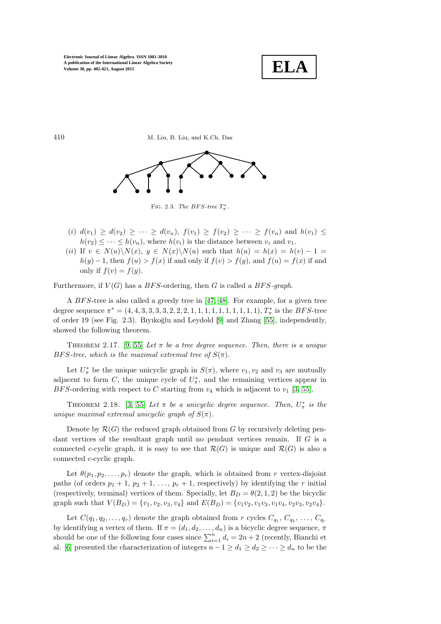

410 M. Liu, B. Liu, and K.Ch. Das



FIG. 2.3. *The BFS-tree*  $T^*_{\pi}$ .

- (i)  $d(v_1) \geq d(v_2) \geq \cdots \geq d(v_n)$ ,  $f(v_1) \geq f(v_2) \geq \cdots \geq f(v_n)$  and  $h(v_1) \leq$  $h(v_2) \leq \cdots \leq h(v_n)$ , where  $h(v_i)$  is the distance between  $v_i$  and  $v_1$ .
- (ii) If  $v \in N(u)\backslash N(x)$ ,  $y \in N(x)\backslash N(u)$  such that  $h(u) = h(x) = h(v) 1$  $h(y) - 1$ , then  $f(u) > f(x)$  if and only if  $f(v) > f(y)$ , and  $f(u) = f(x)$  if and only if  $f(v) = f(y)$ .

Furthermore, if  $V(G)$  has a BFS-ordering, then G is called a BFS-graph.

A BF S-tree is also called a greedy tree in [\[47,](#page-19-8) [48\]](#page-19-9). For example, for a given tree degree sequence  $\pi^* = (4, 4, 3, 3, 3, 3, 2, 2, 2, 1, 1, 1, 1, 1, 1, 1, 1, 1, 1, 1)$ ,  $T^*_{\pi}$  is the *BFS*-tree of order 19 (see Fig. 2.3). Biyikoğlu and Leydold [\[9\]](#page-17-2) and Zhang [\[55\]](#page-19-3), independently, showed the following theorem.

<span id="page-8-0"></span>THEOREM 2.17. [\[9,](#page-17-2) [55\]](#page-19-3) Let  $\pi$  be a tree degree sequence. Then, there is a unique BFS-tree, which is the maximal extremal tree of  $S(\pi)$ .

Let  $U^*_{\pi}$  be the unique unicyclic graph in  $S(\pi)$ , where  $v_1, v_2$  and  $v_3$  are mutually adjacent to form C, the unique cycle of  $U^*_{\pi}$ , and the remaining vertices appear in BFS-ordering with respect to C starting from  $v_4$  which is adjacent to  $v_1$  [\[3,](#page-17-6) [55\]](#page-19-3).

<span id="page-8-1"></span>THEOREM 2.18. [\[3,](#page-17-6) [55\]](#page-19-3) Let  $\pi$  be a unicyclic degree sequence. Then,  $U^*_{\pi}$  is the unique maximal extremal unicyclic graph of  $S(\pi)$ .

Denote by  $\mathcal{R}(G)$  the reduced graph obtained from G by recursively deleting pendant vertices of the resultant graph until no pendant vertices remain. If G is a connected c-cyclic graph, it is easy to see that  $\mathcal{R}(G)$  is unique and  $\mathcal{R}(G)$  is also a connected c-cyclic graph.

Let  $\theta(p_1, p_2, \ldots, p_r)$  denote the graph, which is obtained from r vertex-disjoint paths (of orders  $p_1 + 1$ ,  $p_2 + 1$ , ...,  $p_r + 1$ , respectively) by identifying the r initial (respectively, terminal) vertices of them. Specially, let  $B_D = \theta(2, 1, 2)$  be the bicyclic graph such that  $V(B_D) = \{v_1, v_2, v_3, v_4\}$  and  $E(B_D) = \{v_1v_2, v_1v_3, v_1v_4, v_2v_3, v_2v_4\}.$ 

Let  $C(q_1, q_2, \ldots, q_r)$  denote the graph obtained from r cycles  $C_{q_1}, C_{q_2}, \ldots, C_{q_r}$ by identifying a vertex of them. If  $\pi = (d_1, d_2, \dots, d_n)$  is a bicyclic degree sequence,  $\pi$ should be one of the following four cases since  $\sum_{i=1}^{n} d_i = 2n + 2$  (recently, Bianchi et al. [\[6\]](#page-17-7) presented the characterization of integers  $n-1 \geq d_1 \geq d_2 \geq \cdots \geq d_n$  to be the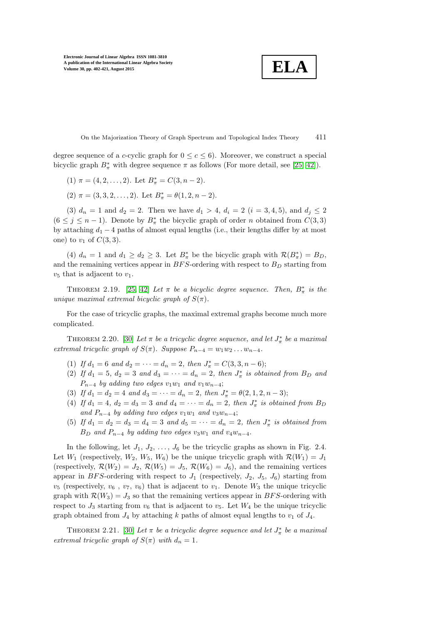**EL** 

On the Majorization Theory of Graph Spectrum and Topological Index Theory 411

degree sequence of a c-cyclic graph for  $0 \leq c \leq 6$ ). Moreover, we construct a special bicyclic graph  $B^*_{\pi}$  with degree sequence  $\pi$  as follows (For more detail, see [\[25,](#page-18-8) [42\]](#page-19-10)).

- (1)  $\pi = (4, 2, \ldots, 2)$ . Let  $B_{\pi}^* = C(3, n 2)$ .
- (2)  $\pi = (3, 3, 2, \dots, 2)$ . Let  $B_{\pi}^* = \theta(1, 2, n 2)$ .

(3)  $d_n = 1$  and  $d_2 = 2$ . Then we have  $d_1 > 4$ ,  $d_i = 2$   $(i = 3, 4, 5)$ , and  $d_j \leq 2$  $(6 \leq j \leq n-1)$ . Denote by  $B_{\pi}^*$  the bicyclic graph of order *n* obtained from  $C(3,3)$ by attaching  $d_1 - 4$  paths of almost equal lengths (i.e., their lengths differ by at most one) to  $v_1$  of  $C(3,3)$ .

(4)  $d_n = 1$  and  $d_1 \geq d_2 \geq 3$ . Let  $B^*_{\pi}$  be the bicyclic graph with  $\mathcal{R}(B^*_{\pi}) = B_D$ , and the remaining vertices appear in  $BFS$ -ordering with respect to  $B_D$  starting from  $v_5$  that is adjacent to  $v_1$ .

<span id="page-9-2"></span>THEOREM 2.19. [\[25,](#page-18-8) [42\]](#page-19-10) Let  $\pi$  be a bicyclic degree sequence. Then,  $B^*_{\pi}$  is the unique maximal extremal bicyclic graph of  $S(\pi)$ .

<span id="page-9-0"></span>For the case of tricyclic graphs, the maximal extremal graphs become much more complicated.

THEOREM 2.20. [\[30\]](#page-18-11) Let  $\pi$  be a tricyclic degree sequence, and let  $J^*_{\pi}$  be a maximal extremal tricyclic graph of  $S(\pi)$ . Suppose  $P_{n-4} = w_1w_2 \ldots w_{n-4}$ .

- (1) If  $d_1 = 6$  and  $d_2 = \cdots = d_n = 2$ , then  $J^*_{\pi} = C(3,3,n-6)$ ;
- (2) If  $d_1 = 5$ ,  $d_2 = 3$  and  $d_3 = \cdots = d_n = 2$ , then  $J^*_{\pi}$  is obtained from  $B_D$  and  $P_{n-4}$  by adding two edges  $v_1w_1$  and  $v_1w_{n-4}$ ;
- (3) If  $d_1 = d_2 = 4$  and  $d_3 = \cdots = d_n = 2$ , then  $J^*_{\pi} = \theta(2, 1, 2, n 3)$ ;
- (4) If  $d_1 = 4$ ,  $d_2 = d_3 = 3$  and  $d_4 = \cdots = d_n = 2$ , then  $J^*_{\pi}$  is obtained from  $B_D$ and  $P_{n-4}$  by adding two edges  $v_1w_1$  and  $v_3w_{n-4}$ ;
- (5) If  $d_1 = d_2 = d_3 = d_4 = 3$  and  $d_5 = \cdots = d_n = 2$ , then  $J^*_{\pi}$  is obtained from  $B_D$  and  $P_{n-4}$  by adding two edges v<sub>3</sub>w<sub>1</sub> and v<sub>4</sub>w<sub>n−4</sub>.

In the following, let  $J_1, J_2, \ldots, J_6$  be the tricyclic graphs as shown in Fig. 2.4. Let  $W_1$  (respectively,  $W_2$ ,  $W_5$ ,  $W_6$ ) be the unique tricyclic graph with  $\mathcal{R}(W_1) = J_1$ (respectively,  $\mathcal{R}(W_2) = J_2$ ,  $\mathcal{R}(W_5) = J_5$ ,  $\mathcal{R}(W_6) = J_6$ ), and the remaining vertices appear in BFS-ordering with respect to  $J_1$  (respectively,  $J_2$ ,  $J_5$ ,  $J_6$ ) starting from  $v_5$  (respectively,  $v_6$ ,  $v_7$ ,  $v_6$ ) that is adjacent to  $v_1$ . Denote  $W_3$  the unique tricyclic graph with  $\mathcal{R}(W_3) = J_3$  so that the remaining vertices appear in BFS-ordering with respect to  $J_3$  starting from  $v_6$  that is adjacent to  $v_5$ . Let  $W_4$  be the unique tricyclic graph obtained from  $J_4$  by attaching k paths of almost equal lengths to  $v_1$  of  $J_4$ .

<span id="page-9-1"></span>THEOREM 2.21. [\[30\]](#page-18-11) Let  $\pi$  be a tricyclic degree sequence and let  $J^*_{\pi}$  be a maximal extremal tricyclic graph of  $S(\pi)$  with  $d_n = 1$ .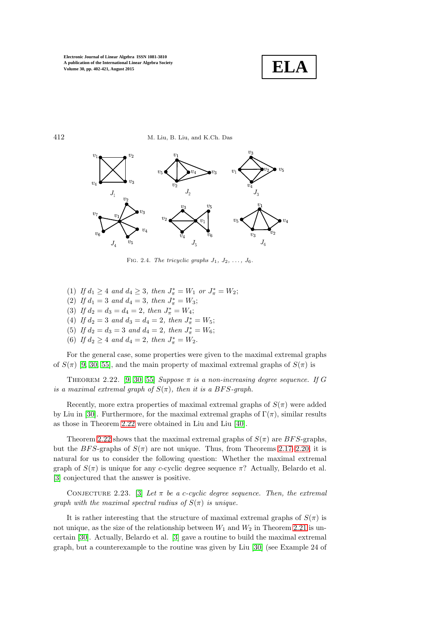

412 M. Liu, B. Liu, and K.Ch. Das



FIG. 2.4. *The tricyclic graphs*  $J_1$ ,  $J_2$ , ...,  $J_6$ .

- (1) If  $d_1 \geq 4$  and  $d_4 \geq 3$ , then  $J^*_{\pi} = W_1$  or  $J^*_{\pi} = W_2$ ;
- (2) If  $d_1 = 3$  and  $d_4 = 3$ , then  $J^*_{\pi} = W_3$ ;
- (3) If  $d_2 = d_3 = d_4 = 2$ , then  $J^*_{\pi} = W_4$ ;
- (4) If  $d_2 = 3$  and  $d_3 = d_4 = 2$ , then  $J^*_{\pi} = W_5$ ;
- (5) If  $d_2 = d_3 = 3$  and  $d_4 = 2$ , then  $J^*_{\pi} = W_6$ ;
- (6) If  $d_2 \geq 4$  and  $d_4 = 2$ , then  $J^*_{\pi} = W_2$ .

<span id="page-10-0"></span>For the general case, some properties were given to the maximal extremal graphs of  $S(\pi)$  [\[9,](#page-17-2) [30,](#page-18-11) [55\]](#page-19-3), and the main property of maximal extremal graphs of  $S(\pi)$  is

THEOREM 2.22. [\[9,](#page-17-2) [30,](#page-18-11) [55\]](#page-19-3) Suppose  $\pi$  is a non-increasing degree sequence. If G is a maximal extremal graph of  $S(\pi)$ , then it is a BFS-graph.

Recently, more extra properties of maximal extremal graphs of  $S(\pi)$  were added by Liu in [\[30\]](#page-18-11). Furthermore, for the maximal extremal graphs of  $\Gamma(\pi)$ , similar results as those in Theorem [2.22](#page-10-0) were obtained in Liu and Liu [\[40\]](#page-19-5).

Theorem [2.22](#page-10-0) shows that the maximal extremal graphs of  $S(\pi)$  are BFS-graphs, but the BFS-graphs of  $S(\pi)$  are not unique. Thus, from Theorems [2.17–](#page-8-0)[2.20,](#page-9-0) it is natural for us to consider the following question: Whether the maximal extremal graph of  $S(\pi)$  is unique for any c-cyclic degree sequence  $\pi$ ? Actually, Belardo et al. [\[3\]](#page-17-6) conjectured that the answer is positive.

<span id="page-10-1"></span>CONJECTURE 2.23. [\[3\]](#page-17-6) Let  $\pi$  be a c-cyclic degree sequence. Then, the extremal graph with the maximal spectral radius of  $S(\pi)$  is unique.

It is rather interesting that the structure of maximal extremal graphs of  $S(\pi)$  is not unique, as the size of the relationship between  $W_1$  and  $W_2$  in Theorem [2.21](#page-9-1) is uncertain [\[30\]](#page-18-11). Actually, Belardo et al. [\[3\]](#page-17-6) gave a routine to build the maximal extremal graph, but a counterexample to the routine was given by Liu [\[30\]](#page-18-11) (see Example 24 of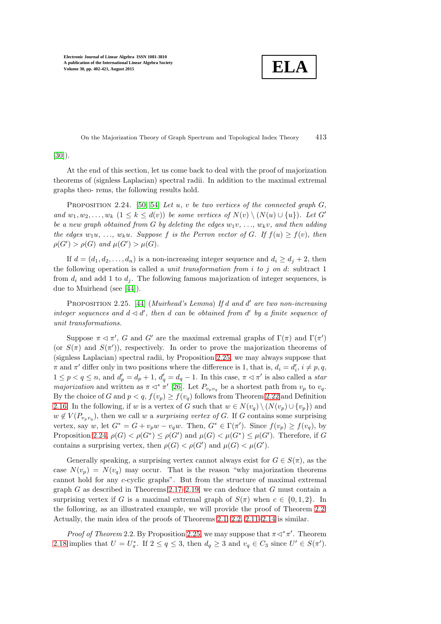**ELA**

On the Majorization Theory of Graph Spectrum and Topological Index Theory 413

[\[30\]](#page-18-11)).

At the end of this section, let us come back to deal with the proof of majorization theorems of (signless Laplacian) spectral radii. In addition to the maximal extremal graphs theo- rems, the following results hold.

<span id="page-11-1"></span>PROPOSITION 2.24. [\[50,](#page-19-11) [54\]](#page-19-2) Let u, v be two vertices of the connected graph  $G$ , and  $w_1, w_2, \ldots, w_k$   $(1 \leq k \leq d(v))$  be some vertices of  $N(v) \setminus (N(u) \cup \{u\})$ . Let G' be a new graph obtained from G by deleting the edges  $w_1v, \ldots, w_kv$ , and then adding the edges  $w_1u, \ldots, w_ku$ . Suppose f is the Perron vector of G. If  $f(u) \geq f(v)$ , then  $\rho(G') > \rho(G)$  and  $\mu(G') > \mu(G)$ .

If  $d = (d_1, d_2, \ldots, d_n)$  is a non-increasing integer sequence and  $d_i \geq d_i + 2$ , then the following operation is called a *unit transformation from i to j on d*: subtract 1 from  $d_i$  and add 1 to  $d_j$ . The following famous majorization of integer sequences, is due to Muirhead (see [\[44\]](#page-19-1)).

<span id="page-11-0"></span>PROPOSITION 2.25. [\[44\]](#page-19-1) (Muirhead's Lemma) If d and d' are two non-increasing integer sequences and  $d \leq d'$ , then d can be obtained from d' by a finite sequence of unit transformations.

Suppose  $\pi \lhd \pi'$ , G and G' are the maximal extremal graphs of  $\Gamma(\pi)$  and  $\Gamma(\pi')$ (or  $S(\pi)$  and  $S(\pi')$ ), respectively. In order to prove the majorization theorems of (signless Laplacian) spectral radii, by Proposition [2.25,](#page-11-0) we may always suppose that  $\pi$  and  $\pi'$  differ only in two positions where the difference is 1, that is,  $d_i = d'_i$ ,  $i \neq p, q$ ,  $1 \leq p < q \leq n$ , and  $d'_p = d_p + 1$ ,  $d'_q = d_q - 1$ . In this case,  $\pi \lhd \pi'$  is also called a *star* majorization and written as  $\pi \prec^* \pi'$  [\[26\]](#page-18-6). Let  $P_{v_p v_q}$  be a shortest path from  $v_p$  to  $v_q$ . By the choice of G and  $p < q$ ,  $f(v_p) \ge f(v_q)$  follows from Theorem 2.[22](#page-10-0) and Definition 2.[16.](#page-7-1) In the following, if w is a vertex of G such that  $w \in N(v_q) \setminus (N(v_p) \cup \{v_p\})$  and  $w \notin V(P_{v_pv_q})$ , then we call w a *surprising vertex of G*. If G contains some surprising vertex, say w, let  $G^* = G + v_p w - v_q w$ . Then,  $G^* \in \Gamma(\pi')$ . Since  $f(v_p) \ge f(v_q)$ , by Proposition [2.24,](#page-11-1)  $\rho(G) < \rho(G^*) \leq \rho(G')$  and  $\mu(G) < \mu(G^*) \leq \mu(G')$ . Therefore, if G contains a surprising vertex, then  $\rho(G) < \rho(G')$  and  $\mu(G) < \mu(G')$ .

Generally speaking, a surprising vertex cannot always exist for  $G \in S(\pi)$ , as the case  $N(v_p) = N(v_q)$  may occur. That is the reason "why majorization theorems" cannot hold for any c-cyclic graphs". But from the structure of maximal extremal graph  $G$  as described in Theorems [2.17](#page-8-0)[–2.19,](#page-9-2) we can deduce that  $G$  must contain a surprising vertex if G is a maximal extremal graph of  $S(\pi)$  when  $c \in \{0, 1, 2\}$ . In the following, as an illustrated example, we will provide the proof of Theorem [2.2.](#page-4-1) Actually, the main idea of the proofs of Theorems [2.1,](#page-4-0) [2.2,](#page-4-1) [2.11–](#page-6-1)[2.14](#page-7-0) is similar.

*Proof of Theorem* 2.2. By Proposition 2.[25,](#page-11-0) we may suppose that  $\pi \prec^* \pi'$ . Theorem 2.[18](#page-8-1) implies that  $U = U^*_{\pi}$ . If  $2 \le q \le 3$ , then  $d_q \ge 3$  and  $v_q \in C_3$  since  $U' \in S(\pi')$ .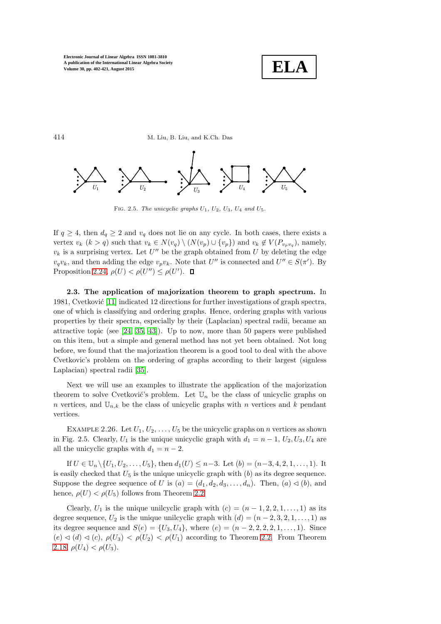



FIG. 2.5. *The unicyclic graphs*  $U_1$ ,  $U_2$ ,  $U_3$ ,  $U_4$  and  $U_5$ .

If  $q \geq 4$ , then  $d_q \geq 2$  and  $v_q$  does not lie on any cycle. In both cases, there exists a vertex  $v_k$   $(k > q)$  such that  $v_k \in N(v_q) \setminus (N(v_p) \cup \{v_p\})$  and  $v_k \notin V(P_{v_pv_q})$ , namely,  $v_k$  is a surprising vertex. Let U'' be the graph obtained from U by deleting the edge  $v_q v_k$ , and then adding the edge  $v_p v_k$ . Note that  $U''$  is connected and  $U'' \in S(\pi')$ . By Proposition 2.[24,](#page-11-1)  $\rho(U) < \rho(U'') \leq \rho(U')$ .

2.3. The application of majorization theorem to graph spectrum. In 1981, Cvetković  $[11]$  indicated 12 directions for further investigations of graph spectra, one of which is classifying and ordering graphs. Hence, ordering graphs with various properties by their spectra, especially by their (Laplacian) spectral radii, became an attractive topic (see [\[24,](#page-18-12) [35,](#page-18-13) [43\]](#page-19-12)). Up to now, more than 50 papers were published on this item, but a simple and general method has not yet been obtained. Not long before, we found that the majorization theorem is a good tool to deal with the above Cvetkovic's problem on the ordering of graphs according to their largest (signless Laplacian) spectral radii [\[35\]](#page-18-13).

Next we will use an examples to illustrate the application of the majorization theorem to solve Cvetković's problem. Let  $\mathbb{U}_n$  be the class of unicyclic graphs on n vertices, and  $\mathbb{U}_{n,k}$  be the class of unicyclic graphs with n vertices and k pendant vertices.

<span id="page-12-0"></span>EXAMPLE 2.26. Let  $U_1, U_2, \ldots, U_5$  be the unicyclic graphs on n vertices as shown in Fig. 2.5. Clearly,  $U_1$  is the unique unicyclic graph with  $d_1 = n - 1$ ,  $U_2, U_3, U_4$  are all the unicyclic graphs with  $d_1 = n - 2$ .

If  $U \in \mathbb{U}_n \backslash \{U_1, U_2, \ldots, U_5\}$ , then  $d_1(U) \le n-3$ . Let  $(b) = (n-3, 4, 2, 1, \ldots, 1)$ . It is easily checked that  $U_5$  is the unique unicyclic graph with  $(b)$  as its degree sequence. Suppose the degree sequence of U is  $(a) = (d_1, d_2, d_3, \ldots, d_n)$ . Then,  $(a) \triangleleft (b)$ , and hence,  $\rho(U) < \rho(U_5)$  follows from Theorem [2](#page-4-1).2.

Clearly,  $U_1$  is the unique unilcyclic graph with  $(c) = (n-1, 2, 2, 1, \ldots, 1)$  as its degree sequence,  $U_2$  is the unique unilcyclic graph with  $(d) = (n-2, 3, 2, 1, \ldots, 1)$  as its degree sequence and  $S(e) = \{U_3, U_4\}$ , where  $(e) = (n-2, 2, 2, 2, 1, \ldots, 1)$ . Since  $(e) \triangleleft (d) \triangleleft (c), \rho(U_3) \triangleleft \rho(U_2) \triangleleft \rho(U_1)$  according to Theorem [2](#page-4-1).2. From Theorem 2.[18,](#page-8-1)  $\rho(U_4) < \rho(U_3)$ .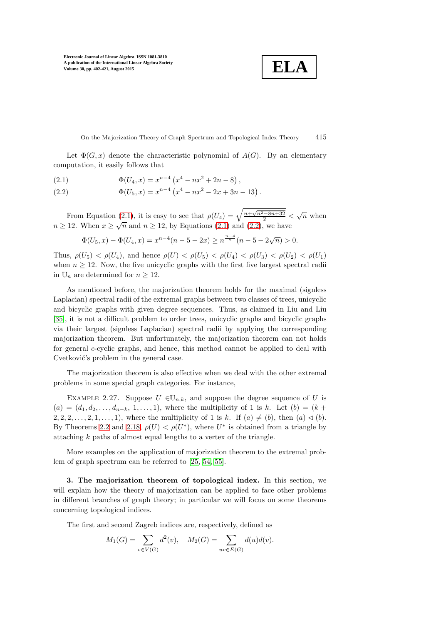**ELA**

On the Majorization Theory of Graph Spectrum and Topological Index Theory 415

Let  $\Phi(G, x)$  denote the characteristic polynomial of  $A(G)$ . By an elementary computation, it easily follows that

<span id="page-13-0"></span>(2.1) 
$$
\Phi(U_4, x) = x^{n-4} (x^4 - nx^2 + 2n - 8),
$$

<span id="page-13-1"></span>(2.2)  $\Phi(U_5, x) = x^{n-4} (x^4 - nx^2 - 2x + 3n - 13).$ 

From Equation (2.[1\)](#page-13-0), it is easy to see that  $\rho(U_4) = \sqrt{\frac{n + \sqrt{n^2 - 8n + 32}}{2}} < \sqrt{n}$  when  $n \geq 12$ . When  $x \geq \sqrt{n}$  and  $n \geq 12$ , by Equations [\(2](#page-13-0).1) and (2.[2\)](#page-13-1), we have

$$
\Phi(U_5, x) - \Phi(U_4, x) = x^{n-4}(n-5-2x) \ge n^{\frac{n-4}{2}}(n-5-2\sqrt{n}) > 0.
$$

Thus,  $\rho(U_5) < \rho(U_4)$ , and hence  $\rho(U) < \rho(U_5) < \rho(U_4) < \rho(U_3) < \rho(U_2) < \rho(U_1)$ when  $n \geq 12$ . Now, the five unicyclic graphs with the first five largest spectral radii in  $\mathbb{U}_n$  are determined for  $n \geq 12$ .

As mentioned before, the majorization theorem holds for the maximal (signless Laplacian) spectral radii of the extremal graphs between two classes of trees, unicyclic and bicyclic graphs with given degree sequences. Thus, as claimed in Liu and Liu [\[35\]](#page-18-13), it is not a difficult problem to order trees, unicyclic graphs and bicyclic graphs via their largest (signless Laplacian) spectral radii by applying the corresponding majorization theorem. But unfortunately, the majorization theorem can not holds for general c-cyclic graphs, and hence, this method cannot be applied to deal with Cvetković's problem in the general case.

The majorization theorem is also effective when we deal with the other extremal problems in some special graph categories. For instance,

EXAMPLE 2.27. Suppose  $U \in \mathbb{U}_{n,k}$ , and suppose the degree sequence of U is  $(a) = (d_1, d_2, \ldots, d_{n-k}, 1, \ldots, 1),$  where the multiplicity of 1 is k. Let  $(b) = (k +$ 2, 2, 2, ..., 2, 1, ..., 1), where the multiplicity of 1 is k. If  $(a) \neq (b)$ , then  $(a) \triangleleft (b)$ . By Theorems [2](#page-4-1).2 and 2.[18,](#page-8-1)  $\rho(U) < \rho(U^*)$ , where  $U^*$  is obtained from a triangle by attaching k paths of almost equal lengths to a vertex of the triangle.

More examples on the application of majorization theorem to the extremal problem of graph spectrum can be referred to [\[25,](#page-18-8) [54,](#page-19-2) [55\]](#page-19-3).

3. The majorization theorem of topological index. In this section, we will explain how the theory of majorization can be applied to face other problems in different branches of graph theory; in particular we will focus on some theorems concerning topological indices.

The first and second Zagreb indices are, respectively, defined as

$$
M_1(G) = \sum_{v \in V(G)} d^2(v), \quad M_2(G) = \sum_{uv \in E(G)} d(u)d(v).
$$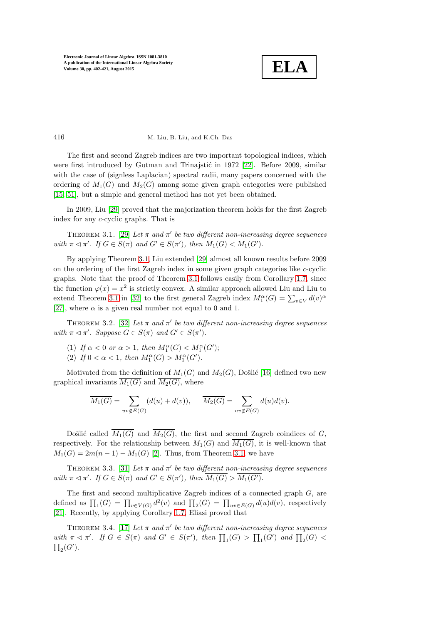

416 M. Liu, B. Liu, and K.Ch. Das

The first and second Zagreb indices are two important topological indices, which were first introduced by Gutman and Trinajstić in 1972 [\[22\]](#page-18-14). Before 2009, similar with the case of (signless Laplacian) spectral radii, many papers concerned with the ordering of  $M_1(G)$  and  $M_2(G)$  among some given graph categories were published [\[15,](#page-18-15) [51\]](#page-19-13), but a simple and general method has not yet been obtained.

<span id="page-14-0"></span>In 2009, Liu [\[29\]](#page-18-16) proved that the majorization theorem holds for the first Zagreb index for any c-cyclic graphs. That is

THEOREM 3.1. [\[29\]](#page-18-16) Let  $\pi$  and  $\pi'$  be two different non-increasing degree sequences with  $\pi \lhd \pi'$ . If  $G \in S(\pi)$  and  $G' \in S(\pi')$ , then  $M_1(G) < M_1(G')$ .

By applying Theorem [3.1,](#page-14-0) Liu extended [\[29\]](#page-18-16) almost all known results before 2009 on the ordering of the first Zagreb index in some given graph categories like c-cyclic graphs. Note that the proof of Theorem [3.1](#page-14-0) follows easily from Corollary [1.7,](#page-3-2) since the function  $\varphi(x) = x^2$  is strictly convex. A similar approach allowed Liu and Liu to extend Theorem [3.1](#page-14-0) in [\[32\]](#page-18-17) to the first general Zagreb index  $M_1^{\alpha}(G) = \sum_{v \in V} d(v)^{\alpha}$ [\[27\]](#page-18-18), where  $\alpha$  is a given real number not equal to 0 and 1.

THEOREM 3.2. [\[32\]](#page-18-17) Let  $\pi$  and  $\pi'$  be two different non-increasing degree sequences with  $\pi \lhd \pi'$ . Suppose  $G \in S(\pi)$  and  $G' \in S(\pi')$ .

- (1) If  $\alpha < 0$  or  $\alpha > 1$ , then  $M_1^{\alpha}(G) < M_1^{\alpha}(G')$ ;
- (2) If  $0 < \alpha < 1$ , then  $M_1^{\alpha}(G) > M_1^{\alpha}(G')$ .

Motivated from the definition of  $M_1(G)$  and  $M_2(G)$ , Došlić [\[16\]](#page-18-19) defined two new graphical invariants  $\overline{M_1(G)}$  and  $\overline{M_2(G)}$ , where

$$
\overline{M_1(G)} = \sum_{uv \notin E(G)} (d(u) + d(v)), \qquad \overline{M_2(G)} = \sum_{uv \notin E(G)} d(u)d(v).
$$

Došlić called  $\overline{M_1(G)}$  and  $\overline{M_2(G)}$ , the first and second Zagreb coindices of G, respectively. For the relationship between  $M_1(G)$  and  $\overline{M_1(G)}$ , it is well-known that  $\overline{M_1(G)} = 2m(n-1) - M_1(G)$  [\[2\]](#page-17-9). Thus, from Theorem [3.1,](#page-14-0) we have

THEOREM 3.3. [\[31\]](#page-18-20) Let  $\pi$  and  $\pi'$  be two different non-increasing degree sequences with  $\pi \lhd \pi'$ . If  $G \in S(\pi)$  and  $G' \in S(\pi')$ , then  $\overline{M_1(G)} > \overline{M_1(G')}$ .

The first and second multiplicative Zagreb indices of a connected graph  $G$ , are defined as  $\prod_1(G) = \prod_{v \in V(G)} d^2(v)$  and  $\prod_2(G) = \prod_{uv \in E(G)} d(u)d(v)$ , respectively [\[21\]](#page-18-21). Recently, by applying Corollary [1.7,](#page-3-2) Eliasi proved that

<span id="page-14-1"></span>THEOREM 3.4. [\[17\]](#page-18-22) Let  $\pi$  and  $\pi'$  be two different non-increasing degree sequences with  $\pi \lhd \pi'$ . If  $G \in S(\pi)$  and  $G' \in S(\pi')$ , then  $\prod_1(G) > \prod_1(G')$  and  $\prod_2(G) <$  $\prod_2(G').$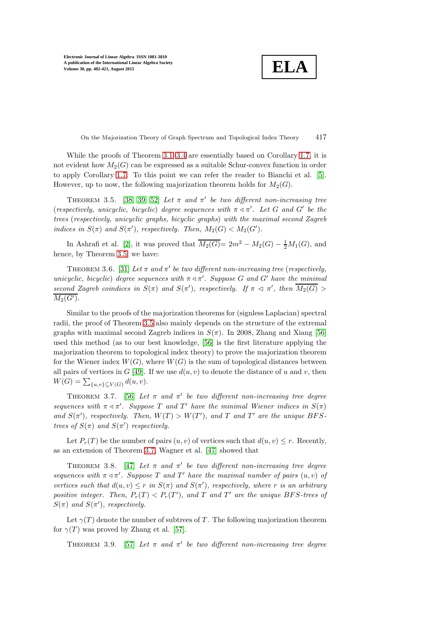**ELA**

On the Majorization Theory of Graph Spectrum and Topological Index Theory 417

While the proofs of Theorem [3.1](#page-14-0)[–3.4](#page-14-1) are essentially based on Corollary [1.7,](#page-3-2) it is not evident how  $M_2(G)$  can be expressed as a suitable Schur-convex function in order to apply Corollary [1.7.](#page-3-2) To this point we can refer the reader to Bianchi et al. [\[5\]](#page-17-10). However, up to now, the following majorization theorem holds for  $M_2(G)$ .

<span id="page-15-0"></span>THEOREM 3.5. [\[38,](#page-19-14) [39,](#page-19-15) [52\]](#page-19-16) Let  $\pi$  and  $\pi'$  be two different non-increasing tree (respectively, unicyclic, bicyclic) degree sequences with  $\pi \triangleleft \pi'$ . Let G and G' be the trees (respectively, unicyclic graphs, bicyclic graphs) with the maximal second Zagreb indices in  $S(\pi)$  and  $S(\pi')$ , respectively. Then,  $M_2(G) < M_2(G')$ .

In Ashrafi et al. [\[2\]](#page-17-9), it was proved that  $\overline{M_2(G)} = 2m^2 - M_2(G) - \frac{1}{2}M_1(G)$ , and hence, by Theorem [3.5,](#page-15-0) we have:

THEOREM 3.6. [\[31\]](#page-18-20) Let  $\pi$  and  $\pi'$  be two different non-increasing tree (respectively, unicyclic, bicyclic) degree sequences with  $\pi \triangleleft \pi'$ . Suppose G and G' have the minimal second Zagreb coindices in  $S(\pi)$  and  $S(\pi')$ , respectively. If  $\pi \leq \pi'$ , then  $\overline{M_2(G)} >$  $\overline{M_2(G')}$ .

Similar to the proofs of the majorization theorems for (signless Laplacian) spectral radii, the proof of Theorem [3.5](#page-15-0) also mainly depends on the structure of the extremal graphs with maximal second Zagreb indices in  $S(\pi)$ . In 2008, Zhang and Xiang [\[56\]](#page-19-17) used this method (as to our best knowledge, [\[56\]](#page-19-17) is the first literature applying the majorization theorem to topological index theory) to prove the majorization theorem for the Wiener index  $W(G)$ , where  $W(G)$  is the sum of topological distances between all pairs of vertices in G [\[49\]](#page-19-18). If we use  $d(u, v)$  to denote the distance of u and v, then  $W(G) = \sum_{\{u,v\} \subseteq V(G)} d(u, v).$ 

<span id="page-15-1"></span>THEOREM 3.7. [\[56\]](#page-19-17) Let  $\pi$  and  $\pi'$  be two different non-increasing tree degree sequences with  $\pi \triangleleft \pi'$ . Suppose T and T' have the minimal Wiener indices in  $S(\pi)$ and  $S(\pi')$ , respectively. Then,  $W(T) > W(T')$ , and T and T' are the unique BFStrees of  $S(\pi)$  and  $S(\pi')$  respectively.

Let  $P_r(T)$  be the number of pairs  $(u, v)$  of vertices such that  $d(u, v) \leq r$ . Recently, as an extension of Theorem [3.7,](#page-15-1) Wagner et al. [\[47\]](#page-19-8) showed that

THEOREM 3.8. [\[47\]](#page-19-8) Let  $\pi$  and  $\pi'$  be two different non-increasing tree degree sequences with  $\pi \triangleleft \pi'$ . Suppose T and T' have the maximal number of pairs  $(u, v)$  of vertices such that  $d(u, v) \le r$  in  $S(\pi)$  and  $S(\pi')$ , respectively, where r is an arbitrary positive integer. Then,  $P_r(T) < P_r(T')$ , and T and T' are the unique BFS-trees of  $S(\pi)$  and  $S(\pi')$ , respectively.

Let  $\gamma(T)$  denote the number of subtrees of T. The following majorization theorem for  $\gamma(T)$  was proved by Zhang et al. [\[57\]](#page-19-19).

THEOREM 3.9. [\[57\]](#page-19-19) Let  $\pi$  and  $\pi'$  be two different non-increasing tree degree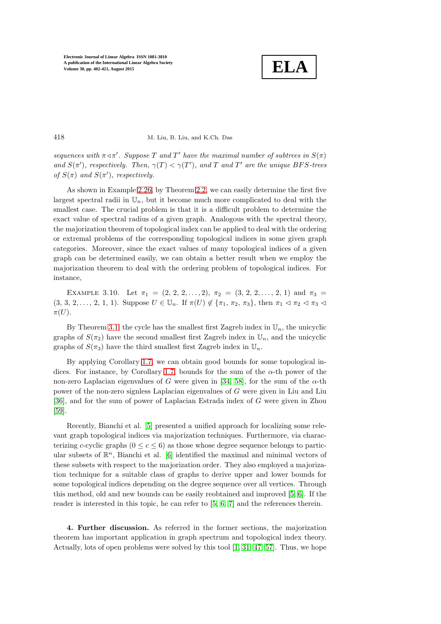

418 M. Liu, B. Liu, and K.Ch. Das

sequences with  $\pi \triangleleft \pi'$ . Suppose T and T' have the maximal number of subtrees in  $S(\pi)$ and  $S(\pi')$ , respectively. Then,  $\gamma(T) < \gamma(T')$ , and T and T' are the unique BFS-trees of  $S(\pi)$  and  $S(\pi')$ , respectively.

As shown in Example [2.26,](#page-12-0) by Theorem [2.2,](#page-4-1) we can easily determine the first five largest spectral radii in  $\mathbb{U}_n$ , but it become much more complicated to deal with the smallest case. The crucial problem is that it is a difficult problem to determine the exact value of spectral radius of a given graph. Analogous with the spectral theory, the majorization theorem of topological index can be applied to deal with the ordering or extremal problems of the corresponding topological indices in some given graph categories. Moreover, since the exact values of many topological indices of a given graph can be determined easily, we can obtain a better result when we employ the majorization theorem to deal with the ordering problem of topological indices. For instance,

EXAMPLE 3.10. Let  $\pi_1 = (2, 2, 2, \ldots, 2), \pi_2 = (3, 2, 2, \ldots, 2, 1)$  and  $\pi_3 =$  $(3, 3, 2, \ldots, 2, 1, 1)$ . Suppose  $U \in \mathbb{U}_n$ . If  $\pi(U) \notin \{\pi_1, \pi_2, \pi_3\}$ , then  $\pi_1 \prec \pi_2 \prec \pi_3 \prec$  $\pi(U)$ .

By Theorem [3](#page-14-0).1, the cycle has the smallest first Zagreb index in  $\mathbb{U}_n$ , the unicyclic graphs of  $S(\pi_2)$  have the second smallest first Zagreb index in  $\mathbb{U}_n$ , and the unicyclic graphs of  $S(\pi_3)$  have the third smallest first Zagreb index in  $\mathbb{U}_n$ .

By applying Corollary [1.7,](#page-3-2) we can obtain good bounds for some topological in-dices. For instance, by Corollary [1.7,](#page-3-2) bounds for the sum of the  $\alpha$ -th power of the non-zero Laplacian eigenvalues of G were given in [\[34,](#page-18-23) [58\]](#page-19-20), for the sum of the  $\alpha$ -th power of the non-zero signless Laplacian eigenvalues of G were given in Liu and Liu [\[36\]](#page-18-24), and for the sum of power of Laplacian Estrada index of G were given in Zhou [\[59\]](#page-19-21).

Recently, Bianchi et al. [\[5\]](#page-17-10) presented a unified approach for localizing some relevant graph topological indices via majorization techniques. Furthermore, via characterizing c-cyclic graphs ( $0 \le c \le 6$ ) as those whose degree sequence belongs to particular subsets of  $\mathbb{R}^n$ , Bianchi et al. [\[6\]](#page-17-7) identified the maximal and minimal vectors of these subsets with respect to the majorization order. They also employed a majorization technique for a suitable class of graphs to derive upper and lower bounds for some topological indices depending on the degree sequence over all vertices. Through this method, old and new bounds can be easily reobtained and improved [\[5,](#page-17-10) [6\]](#page-17-7). If the reader is interested in this topic, he can refer to [\[5,](#page-17-10) [6,](#page-17-7) [7\]](#page-17-11) and the references therein.

4. Further discussion. As referred in the former sections, the majorization theorem has important application in graph spectrum and topological index theory. Actually, lots of open problems were solved by this tool [\[1,](#page-17-5) [31,](#page-18-20) [47,](#page-19-8) [57\]](#page-19-19). Thus, we hope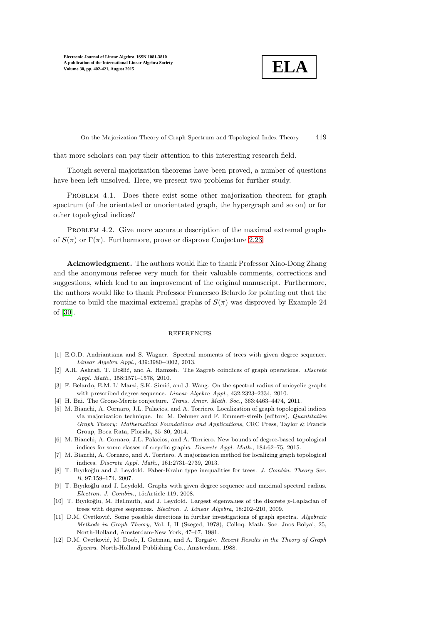**ELA**

On the Majorization Theory of Graph Spectrum and Topological Index Theory 419

that more scholars can pay their attention to this interesting research field.

Though several majorization theorems have been proved, a number of questions have been left unsolved. Here, we present two problems for further study.

PROBLEM 4.1. Does there exist some other majorization theorem for graph spectrum (of the orientated or unorientated graph, the hypergraph and so on) or for other topological indices?

Problem 4.2. Give more accurate description of the maximal extremal graphs of  $S(\pi)$  or  $\Gamma(\pi)$ . Furthermore, prove or disprove Conjecture 2.[23.](#page-10-1)

Acknowledgment. The authors would like to thank Professor Xiao-Dong Zhang and the anonymous referee very much for their valuable comments, corrections and suggestions, which lead to an improvement of the original manuscript. Furthermore, the authors would like to thank Professor Francesco Belardo for pointing out that the routine to build the maximal extremal graphs of  $S(\pi)$  was disproved by Example 24 of [\[30\]](#page-18-11).

## **REFERENCES**

- <span id="page-17-5"></span>[1] E.O.D. Andriantiana and S. Wagner. Spectral moments of trees with given degree sequence. *Linear Algebra Appl.*, 439:3980–4002, 2013.
- <span id="page-17-9"></span>[2] A.R. Ashrafi, T. Došlić, and A. Hamzeh. The Zagreb coindices of graph operations. *Discrete Appl. Math.*, 158:1571–1578, 2010.
- <span id="page-17-6"></span>[3] F. Belardo, E.M. Li Marzi, S.K. Simić, and J. Wang. On the spectral radius of unicyclic graphs with prescribed degree sequence. *Linear Algebra Appl.*, 432:2323–2334, 2010.
- <span id="page-17-10"></span><span id="page-17-0"></span>[4] H. Bai. The Grone-Merris conjecture. *Trans. Amer. Math. Soc.*, 363:4463–4474, 2011.
- [5] M. Bianchi, A. Cornaro, J.L. Palacios, and A. Torriero. Localization of graph topological indices via majorization technique. In: M. Dehmer and F. Emmert-streib (editors), *Quantitative Graph Theory: Mathematical Foundations and Applications*, CRC Press, Taylor & Francis Group, Boca Rata, Florida, 35–80, 2014.
- <span id="page-17-7"></span>[6] M. Bianchi, A. Cornaro, J.L. Palacios, and A. Torriero. New bounds of degree-based topological indices for some classes of c-cyclic graphs. *Discrete Appl. Math.*, 184:62–75, 2015.
- <span id="page-17-11"></span>[7] M. Bianchi, A. Cornaro, and A. Torriero. A majorization method for localizing graph topological indices. *Discrete Appl. Math.*, 161:2731–2739, 2013.
- <span id="page-17-1"></span>[8] T. Bıyıkoğlu and J. Leydold. Faber-Krahn type inequalities for trees. *J. Combin. Theory Ser. B*, 97:159–174, 2007.
- <span id="page-17-2"></span>[9] T. Bıyıkoğlu and J. Leydold. Graphs with given degree sequence and maximal spectral radius. *Electron. J. Combin.*, 15:Article 119, 2008.
- <span id="page-17-4"></span>[10] T. Bıyıkoğlu, M. Hellmuth, and J. Leydold. Largest eigenvalues of the discrete p-Laplacian of trees with degree sequences. *Electron. J. Linear Algebra*, 18:202–210, 2009.
- <span id="page-17-8"></span>[11] D.M. Cvetković. Some possible directions in further investigations of graph spectra. *Algebraic Methods in Graph Theory*, Vol. I, II (Szeged, 1978), Colloq. Math. Soc. Jnos Bolyai, 25, North-Holland, Amsterdam-New York, 47–67, 1981.
- <span id="page-17-3"></span>[12] D.M. Cvetković, M. Doob, I. Gutman, and A. Torgašv. *Recent Results in the Theory of Graph Spectra*. North-Holland Publishing Co., Amsterdam, 1988.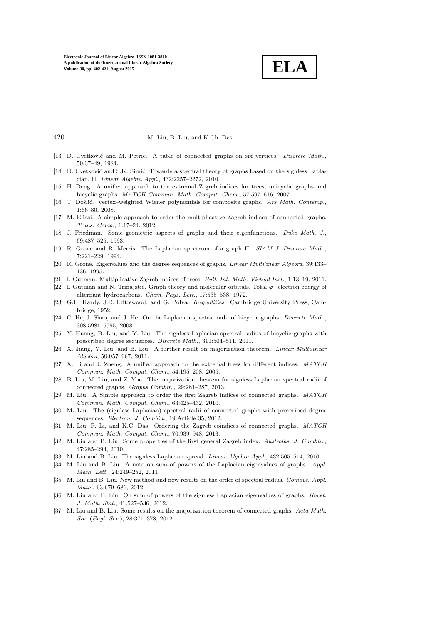

420 M. Liu, B. Liu, and K.Ch. Das

- <span id="page-18-10"></span><span id="page-18-0"></span>[13] D. Cvetković and M. Petrić. A table of connected graphs on six vertices. *Discrete Math.*, 50:37–49, 1984.
- <span id="page-18-15"></span>[14] D. Cvetković and S.K. Simić. Towards a spectral theory of graphs based on the signless Laplacian. II. *Linear Algebra Appl.*, 432:2257–2272, 2010.
- [15] H. Deng. A unified approach to the extremal Zegreb indices for trees, unicyclic graphs and bicyclic graphs. *MATCH Commun. Math. Comput. Chem.*, 57:597–616, 2007.
- <span id="page-18-19"></span>[16] T. Došlić. Vertex–weighted Wiener polynomials for composite graphs. *Ars Math. Contemp.*, 1:66–80, 2008.
- <span id="page-18-22"></span><span id="page-18-1"></span>[17] M. Eliasi. A simple approach to order the multiplicative Zagreb indices of connected graphs. *Trans. Comb.*, 1:17–24, 2012.
- <span id="page-18-4"></span>[18] J. Friedman. Some geometric aspects of graphs and their eigenfunctions. *Duke Math. J.*, 69:487–525, 1993.
- <span id="page-18-5"></span>[19] R. Grone and R. Merris. The Laplacian spectrum of a graph II. *SIAM J. Discrete Math.*, 7:221–229, 1994.
- [20] R. Grone. Eigenvalues and the degree sequences of graphs. *Linear Multilinear Algebra*, 39:133– 136, 1995.
- <span id="page-18-21"></span><span id="page-18-14"></span>[21] I. Gutman. Multiplicative Zagreb indices of trees. *Bull. Int. Math. Virtual Inst.*, 1:13–19, 2011.
- [22] I. Gutman and N. Trinajstić. Graph theory and molecular orbitals. Total  $\varphi$ −electron energy of alternant hydrocarbons. *Chem. Phys. Lett.*, 17:535–538, 1972.
- <span id="page-18-2"></span>[23] G.H. Hardy, J.E. Littlewood, and G. Pólya. *Inequalities*. Cambridge University Press, Cambridge, 1952.
- <span id="page-18-12"></span>[24] C. He, J. Shao, and J. He. On the Laplacian spectral radii of bicyclic graphs. *Discrete Math.*, 308:5981–5995, 2008.
- <span id="page-18-8"></span>[25] Y. Huang, B. Liu, and Y. Liu. The signless Laplacian spectral radius of bicyclic graphs with prescribed degree sequences. *Discrete Math.*, 311:504–511, 2011.
- <span id="page-18-6"></span>[26] X. Jiang, Y. Liu, and B. Liu. A further result on majorization theorem. *Linear Multilinear Algebra*, 59:957–967, 2011.
- <span id="page-18-18"></span>[27] X. Li and J. Zheng. A unified approach to the extremal trees for different indices. *MATCH Commun. Math. Comput. Chem.*, 54:195–208, 2005.
- <span id="page-18-9"></span>[28] B. Liu, M. Liu, and Z. You. The majorization theorem for signless Laplacian spectral radii of connected graphs. *Graphs Combin.*, 29:281–287, 2013.
- <span id="page-18-16"></span>[29] M. Liu. A Simple approach to order the first Zagreb indices of connected graphs. *MATCH Commun. Math. Comput. Chem.*, 63:425–432, 2010.
- <span id="page-18-11"></span>[30] M. Liu. The (signless Laplacian) spectral radii of connected graphs with prescribed degree sequences. *Electron. J. Combin.*, 19:Article 35, 2012.
- <span id="page-18-20"></span>[31] M. Liu, F. Li, and K.C. Das. Ordering the Zagreb coindices of connected graphs. *MATCH Commun. Math. Comput. Chem.*, 70:939–948, 2013.
- <span id="page-18-17"></span>[32] M. Liu and B. Liu. Some properties of the first general Zagreb index. *Australas. J. Combin.*, 47:285–294, 2010.
- <span id="page-18-23"></span><span id="page-18-3"></span>[33] M. Liu and B. Liu. The signless Laplacian spread. *Linear Algebra Appl.*, 432:505–514, 2010.
- [34] M. Liu and B. Liu. A note on sum of powers of the Laplacian eigenvalues of graphs. *Appl. Math. Lett.*, 24:249–252, 2011.
- <span id="page-18-13"></span>[35] M. Liu and B. Liu. New method and new results on the order of spectral radius. *Comput. Appl. Math.*, 63:679–686, 2012.
- <span id="page-18-24"></span>[36] M. Liu and B. Liu. On sum of powers of the signless Laplacian eigenvalues of graphs. *Hacet. J. Math. Stat.*, 41:527–536, 2012.
- <span id="page-18-7"></span>[37] M. Liu and B. Liu. Some results on the majorization theorem of connected graphs. *Acta Math. Sin.* (*Engl. Ser.*), 28:371–378, 2012.